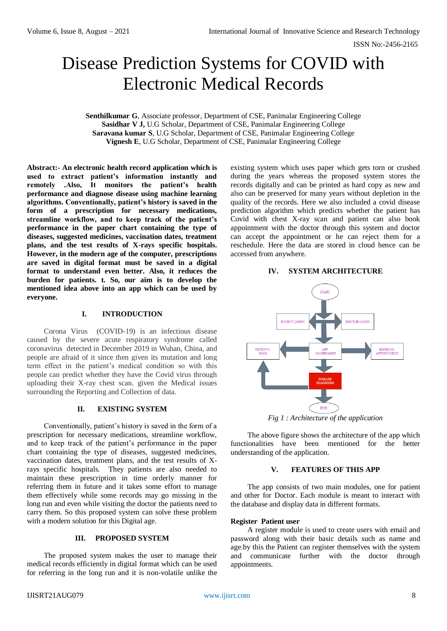ISSN No:-2456-2165

# Disease Prediction Systems for COVID with Electronic Medical Records

**Senthilkumar G**, Associate professor, Department of CSE, Panimalar Engineering College **Sasidhar V J,** U.G Scholar, Department of CSE, Panimalar Engineering College **Saravana kumar S**, U.G Scholar, Department of CSE, Panimalar Engineering College **Vignesh E**, U.G Scholar, Department of CSE, Panimalar Engineering College

**Abstract:- An electronic health record application which is used to extract patient's information instantly and remotely .Also, It monitors the patient's health performance and diagnose disease using machine learning algorithms. Conventionally, patient's history is saved in the form of a prescription for necessary medications, streamline workflow, and to keep track of the patient's performance in the paper chart containing the type of diseases, suggested medicines, vaccination dates, treatment plans, and the test results of X-rays specific hospitals. However, in the modern age of the computer, prescriptions are saved in digital format must be saved in a digital format to understand even better. Also, it reduces the burden for patients. t. So, our aim is to develop the mentioned idea above into an app which can be used by everyone.** 

## **I. INTRODUCTION**

Corona Virus (COVID-19) is an infectious disease caused by the severe acute respiratory syndrome called coronavirus detected in December 2019 in Wuhan, China, and people are afraid of it since then given its mutation and long term effect in the patient's medical condition so with this people can predict whether they have the Covid virus through uploading their X-ray chest scan. given the Medical issues surrounding the Reporting and Collection of data.

# **II. EXISTING SYSTEM**

Conventionally, patient's history is saved in the form of a prescription for necessary medications, streamline workflow, and to keep track of the patient's performance in the paper chart containing the type of diseases, suggested medicines, vaccination dates, treatment plans, and the test results of Xrays specific hospitals. They patients are also needed to maintain these prescription in time orderly manner for referring them in future and it takes some effort to manage them effectively while some records may go missing in the long run and even while visiting the doctor the patients need to carry them. So this proposed system can solve these problem with a modern solution for this Digital age.

## **III. PROPOSED SYSTEM**

The proposed system makes the user to manage their medical records efficiently in digital format which can be used for referring in the long run and it is non-volatile unlike the existing system which uses paper which gets torn or crushed during the years whereas the proposed system stores the records digitally and can be printed as hard copy as new and also can be preserved for many years without depletion in the quality of the records. Here we also included a covid disease prediction algorithm which predicts whether the patient has Covid with chest X-ray scan and patient can also book appointment with the doctor through this system and doctor can accept the appointment or he can reject them for a reschedule. Here the data are stored in cloud hence can be accessed from anywhere.

#### **IV. SYSTEM ARCHITECTURE**



*Fig 1 : Architecture of the application*

The above figure shows the architecture of the app which functionalities have been mentioned for the better understanding of the application.

#### **V. FEATURES OF THIS APP**

The app consists of two main modules, one for patient and other for Doctor. Each module is meant to interact with the database and display data in different formats.

#### **Register Patient user**

A register module is used to create users with email and password along with their basic details such as name and age.by this the Patient can register themselves with the system and communicate further with the doctor through appointments.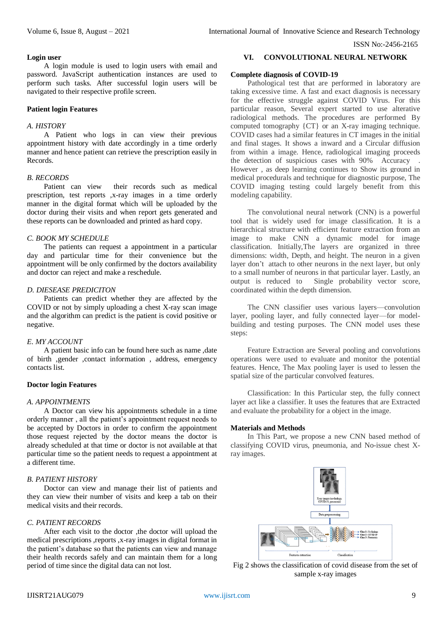#### ISSN No:-2456-2165

#### **Login user**

A login module is used to login users with email and password. JavaScript authentication instances are used to perform such tasks. After successful login users will be navigated to their respective profile screen.

#### **Patient login Features**

#### *A. HISTORY*

A Patient who logs in can view their previous appointment history with date accordingly in a time orderly manner and hence patient can retrieve the prescription easily in Records.

# *B. RECORDS*

Patient can view their records such as medical prescription, test reports ,x-ray images in a time orderly manner in the digital format which will be uploaded by the doctor during their visits and when report gets generated and these reports can be downloaded and printed as hard copy.

## *C. BOOK MY SCHEDULE*

The patients can request a appointment in a particular day and particular time for their convenience but the appointment will be only confirmed by the doctors availability and doctor can reject and make a reschedule.

#### *D. DIESEASE PREDICITON*

Patients can predict whether they are affected by the COVID or not by simply uploading a chest X-ray scan image and the algorithm can predict is the patient is covid positive or negative.

# *E. MY ACCOUNT*

A patient basic info can be found here such as name ,date of birth ,gender ,contact information , address, emergency contacts list.

#### **Doctor login Features**

#### *A. APPOINTMENTS*

A Doctor can view his appointments schedule in a time orderly manner , all the patient's appointment request needs to be accepted by Doctors in order to confirm the appointment those request rejected by the doctor means the doctor is already scheduled at that time or doctor is not available at that particular time so the patient needs to request a appointment at a different time.

# *B. PATIENT HISTORY*

Doctor can view and manage their list of patients and they can view their number of visits and keep a tab on their medical visits and their records.

# *C. PATIENT RECORDS*

After each visit to the doctor ,the doctor will upload the medical prescriptions ,reports ,x-ray images in digital format in the patient's database so that the patients can view and manage their health records safely and can maintain them for a long period of time since the digital data can not lost.

#### **VI. CONVOLUTIONAL NEURAL NETWORK**

# **Complete diagnosis of COVID-19**

Pathological test that are performed in laboratory are taking excessive time. A fast and exact diagnosis is necessary for the effective struggle against COVID Virus. For this particular reason, Several expert started to use alterative radiological methods. The procedures are performed By computed tomography {CT} or an X-ray imaging technique. COVID cases had a similar features in CT images in the initial and final stages. It shows a inward and a Circular diffusion from within a image. Hence, radiological imaging proceeds the detection of suspicious cases with 90% Accuracy . However , as deep learning continues to Show its ground in medical procedurals and technique for diagnostic purpose, The COVID imaging testing could largely benefit from this modeling capability.

The convolutional neural network (CNN) is a powerful tool that is widely used for image classification. It is a hierarchical structure with efficient feature extraction from an image to make CNN a dynamic model for image classification. Initially,The layers are organized in three dimensions: width, Depth, and height. The neuron in a given layer don't attach to other neurons in the next layer, but only to a small number of neurons in that particular layer. Lastly, an output is reduced to Single probability vector score, coordinated within the depth dimension.

The CNN classifier uses various layers—convolution layer, pooling layer, and fully connected layer—for modelbuilding and testing purposes. The CNN model uses these steps:

Feature Extraction are Several pooling and convolutions operations were used to evaluate and monitor the potential features. Hence, The Max pooling layer is used to lessen the spatial size of the particular convolved features.

Classification: In this Particular step, the fully connect layer act like a classifier. It uses the features that are Extracted and evaluate the probability for a object in the image.

#### **Materials and Methods**

In This Part, we propose a new CNN based method of classifying COVID virus, pneumonia, and No-issue chest Xray images.



Fig 2 shows the classification of covid disease from the set of sample x-ray images